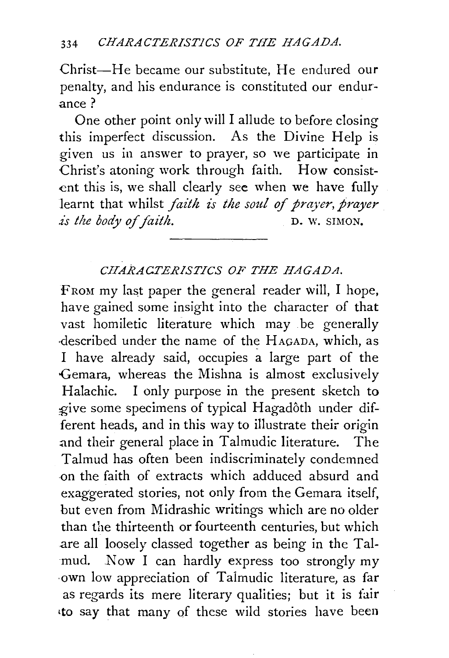Christ-He became our substitute, He endured our penalty, and his endurance is constituted our endurance?

One other point only will I allude to before closing this imperfect discussion. As the Divine Help is given us in answer to prayer, so we participate in Christ's atoning work through faith. How consistent this is, we shall clearly see when we have fully learnt that whilst *faith is the soul of prayer, prayer is the body of faith.* D. W. SIMON.

## *CH ARA C.TERISTICS OF THE HA GADA.*

FROM my last paper the general reader will, I hope, have gained some insight into the character of that vast homiletic literature which may *be* generally described under the name of the HAGADA, which, as I have already said, occupies a large part of the Cemara, whereas the Mishna is almost exclusively Halachic. I only purpose in the present sketch to give some specimens of typical Hagadôth under different heads, and in this way to illustrate their origin and their general place in Talmudic literature. The Talmud has often been indiscriminately condemned on the faith of extracts which adduced absurd and exaggerated stories, not only from the Gemara itself, but even from Midrashic writings which are no older than the thirteenth or fourteenth centuries, but which are all loosely classed together as being in the Talmud. Now I can hardly express too strongly my ·own low appreciation of Talmudic literature, as far as regards its mere literary qualities; but it is fair •to say that many of these wild stories have been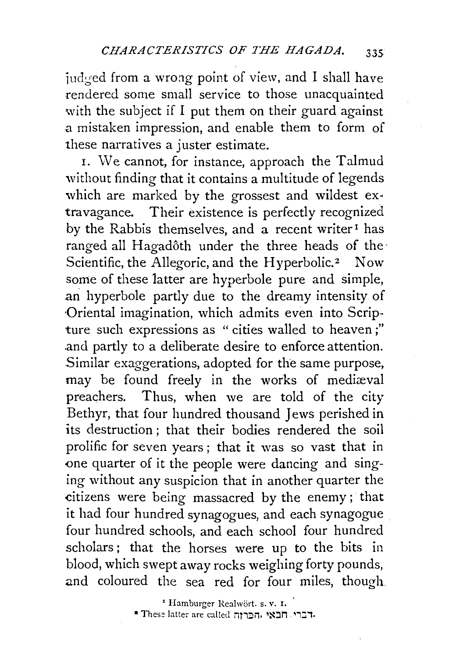judged from a wrong point of view, and I shall have .rendered some small service to those unacquainted with the subject if I put them on their guard against. a mistaken impression, and enable them to form of these narratives a juster estimate.

r. \Ne cannot, for instance, approach the Talmud without finding that it contains a multitude of legends which are marked by the grossest and wildest extravagance. Their existence is perfectly recognized by the Rabbis themselves, and a recent writer<sup>1</sup> has ranged all Hagadôth under the three heads of the Scientific, the Allegoric, and the Hyperbolic.<sup>2</sup> Now some of these latter are hyperbole pure and simple, .ari hyperbole partly due to the dreamy intensity of Oriental imagination, which admits even into Scripture such expressions as " cities walled to heaven;" and partly to a deliberate desire to enforce attention. Similar exaggerations, adopted for the same purpose, may be found freely in the works of mediæval preachers. Thus, when we are told of the city Bethyr, that four hundred thousand Jews perished in its destruction ; that their bodies rendered the soil prolific for seven years ; that it was so vast that in one quarter of it the people were dancing and singing without any suspicion that in another quarter the citizens were being massacred by the enemy ; that it had four hundred synagogues, and each synagogue four hundred schools, and each school four hundred scholars; that the horses were up to the bits in blood, which swept away rocks weighing forty pounds, and coloured the sea red for four miles, though

> <sup>1</sup> Hamburger Realwört. s. v. I. • These latter are called ;הברזה ,הברזה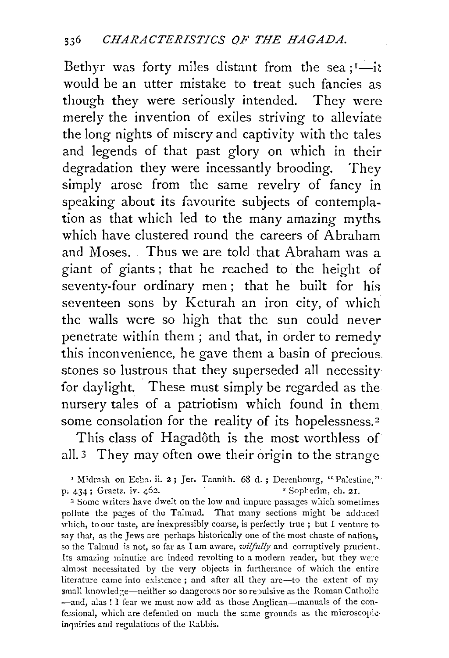Bethyr was forty miles distant from the sea  $:$ <sup>1</sup>-it would be an utter mistake to treat such fancies as though they were seriously intended. They were merely the invention of exiles striving to alleviate the long nights of misery and captivity with the tales and legends of that past glory on which in their degradation they were incessantly brooding. They simply arose from the same revelry of fancy in speaking about its favourite subjects of contemplation as that which led to the many amazing myths which have clustered round the careers of Abraham and Moses. Thus we are told that Abraham was a giant of giants; that he reached to the height of seventy-four ordinary men; that he built for his seventeen sons by Keturah an iron city, of which the walls were so high that the sun could never penetrate within them ; and that, in order to remedy this inconvenience, he gave them a basin of precious. stones so lustrous that they superseded all necessity for daylight. These must simply be regarded as the nursery tales of a patriotism which found in them some consolation for the reality of its hopelessness.<sup>2</sup>

This class of Hagadôth is the most worthless of all. 3 They may often owe their origin to the strange

' Midrash on Echa. ii. 2; Jer. Taanith. 68 d.; Derenbourg, "Palestine," p. 434; Graetz. iv.  $\angle 62$ . 2  $\angle 2$  Sopherim, ch. 21.

3 Some writers have dwelt on the low and impure passages which sometimes pollute the pages of the Talmud. That many sections might be adduced which, to our taste, are inexpressibly coarse, is perfectly true ; but I venture to. say that, as the Jews are perhaps historically one of the most chaste of nations, *so* the Talmud is not, so far as I am aware, *wilfully* and corruptively prurient. Its amazing minutice are indeed revolting to a modern reader, but they were almost necessitated by the very objects in furtherance of which the entire literature came into existence; and after all they are—to the extent of my small knowledge—neither so dangerous nor so repulsive as the Roman Catholic -and, alas ! I fear we must now add as those Anglican-manuals of the confessional, which are defended on much the same grounds as the microscopic· inguiries and regulations of the Rabbis.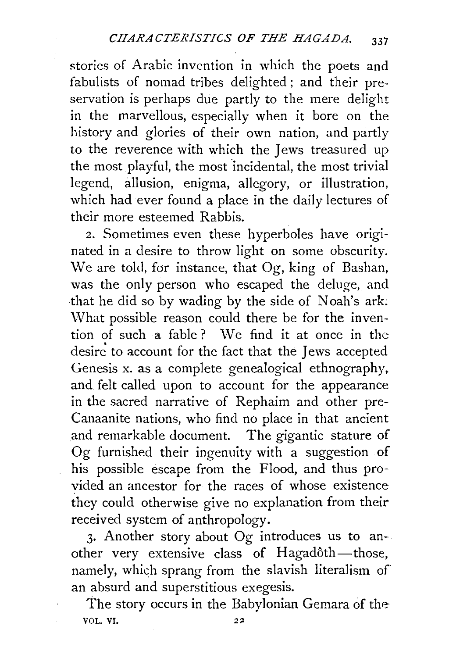stories of Arabic invention in which the poets and fabulists of nomad tribes delighted ; and their preservation is perhaps due partly to the mere delight in the marvellous, especially when it bore on the history and glories of their own nation, and partly to the reverence with which the Jews treasured up the most playful, the most incidental, the most trivial legend, allusion, enigma, allegory, or illustration, which had ever found a place in the daily lectures of their more esteemed Rabbis.

2. Sometimes even these hyperboles have originated in a desire to throw light on some obscurity. We are told, for instance, that Og, king of Bashan, was the only person who escaped the deluge, and that he did so by wading by the side of Noah's ark. What possible reason could there be for the invention of such a fable ? We find it at once in the desire to account for the fact that the Jews accepted Genesis x. as a complete genealogical ethnography. and felt called upon to account for the appearance in the sacred narrative of Rephaim and other pre-Canaanite nations, who find no place in that ancient and remarkable document. The gigantic stature of Og furnished their ingenuity with a suggestion of his possible escape from the Flood, and thus provided an ancestor for the races of whose existence they could otherwise give no explanation from their received system of anthropology.

3· Another story about Og introduces us to another very extensive class of Hagadôth-those, namely, which sprang from the slavish literalism of an absurd and superstitious exegesis.

The story occurs in the Babylonian Gemara of the VOL. VI. 22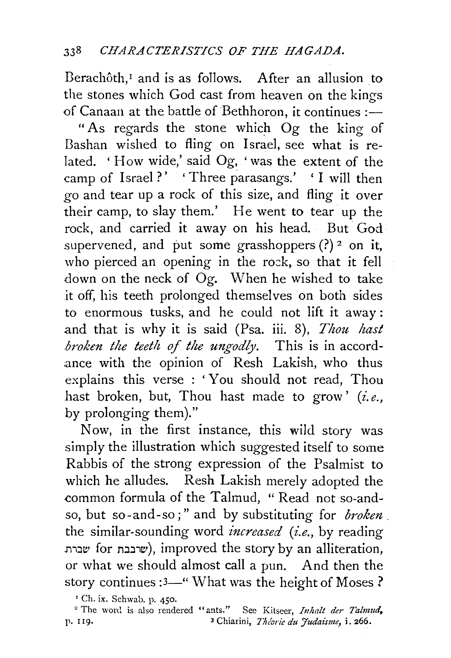Berachôth, $I$  and is as follows. After an allusion to the stones which God cast from heaven on the kings of Canaan at the battle of Bethhoron, it continues  $:$ 

"As regards the stone which Og the king of Bashan wished to fling on Israel, see what is related. 'How wide,' said Og, 'was the extent of the camp of Israel?' 'Three parasangs.' 'I will then go and tear up a rock of this size, and fling it over their camp, to slay them.' He went to tear up the rock, and carried it away on his head. But God supervened, and put some grasshoppers $(?)^2$  on it, who pierced an opening in the rock, so that it fell down on the neck of Og. When he wished to take it off, his teeth prolonged themselves on both sides to enormous tusks, and he could not lift it away: and that is why it is said (Psa. iii. 8), *Thou hast broken the teeth of the ungodly.* This is in accordance with the opinion of Resh Lakish, who thus explains this verse : ' You should not read, Thou hast broken, but, Thou hast made to grow ' *(i.e.,*  by prolonging them)."

Now, in the first instance, this wild story was simply the illustration which suggested itself to some Rabbis of the strong expression of the Psalmist to which he alludes. Resh Lakish merely adopted the .common formula of the Talmud, "Read not so-andso, but so-and-so;" and by substituting for *broken.*  the similar-sounding word *increased (i.e.,* by reading m:Jt!l for 11::l::lii!!), improved the story by an alliteration, or what we should almost call a pun. And then the story continues : 3-" What was the height of Moses ?

<sup>1</sup> Ch. ix. Schwab. p. 450. 2 The word is also rendered "ants." See Kitseer, *Inhalt der Talmud*, p. 119. 3 Chiarini, *Théorie du Judaisme*, i. 266.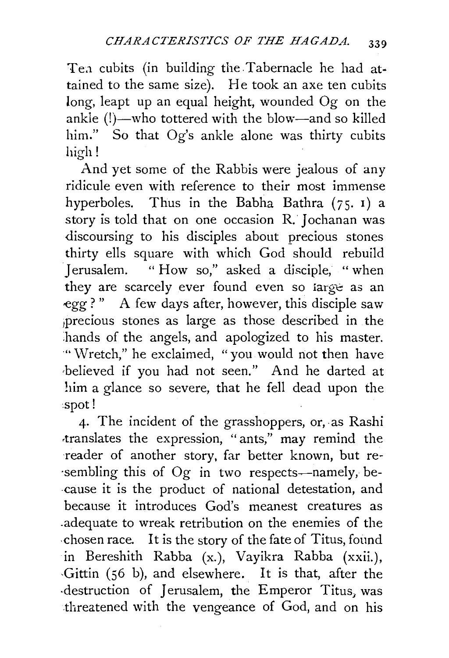Ten cubits (in building the Tabernacle he had attained to the same size). He took an axe ten cubits long, leapt up an equal height, wounded Og on the ankle  $(!)$ —who tottered with the blow—and so killed him." So that Og's ankle alone was thirty cubits high!

And yet some of the Rabbis were jealous of any ridicule even with reference to their most immense hyperboles. Thus in the Babha Bathra  $(75. 1)$  a story is told that on one occasion  $R$ . Jochanan was discoursing to his disciples about precious stones thirty ells square with which God should rebuild Jerusalem. " How so," asked a disciple, " when they are scarcely ever found even so farge as an egg ? " A few days after, however, this disciple saw iprecious stones as large as those described in the hands of the angels, and apologized to his master. "Wretch," he exclaimed, "you would not then have believed if you had not seen." And he darted at him a glance so severe, that he fell dead upon the spot!

4· The incident of the grasshoppers, or, as Rashi translates the expression, "ants," may remind the reader of another story, far better known, but re- ·sembling this of Og in two respects-namely, be- ·Cause it is the product of national detestation, and because it introduces God's meanest creatures as .adequate to wreak retribution on the enemies of the -chosen race. It is the story of the fate of Titus, found in Bereshith Rabba (x.), Vayikra Rabba (xxii.), -Gittin (56 b), and elsewhere. It is that, after the destruction of Jerusalem, the Emperor Titus, was threatened with the vengeance of God, and on his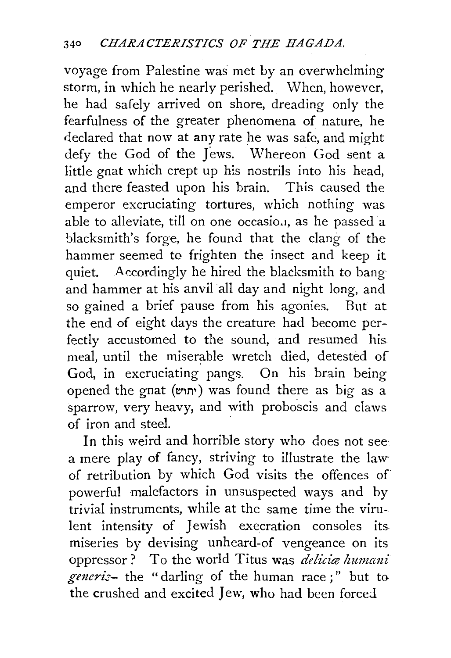voyage from Palestine was met by an overwhelming storm, in which he nearly perished. When, however, he had safely arrived on shore, dreading only the fearfulness of the greater phenomena of nature, he declared that now at any rate he was safe, and might defy the God of the Jews. Whereon God sent a little gnat which crept up his nostrils into his head, and there feasted upon his brain. This caused the emperor excruciating tortures, which nothing was able to alleviate, till on one occasio.1, as he passed a blacksmith's forge, he found that the clang of the hammer seemed to frighten the insect and keep it quiet. Accordingly he hired the blacksmith to bang and hammer at his anvil all day and night long, and so gained a brief pause from his agonies. But at the end of eight days the creature had become perfectly accustomed to the sound, and resumed his. meal, until the miserable wretch died, detested of God, in excruciating pangs, On his brain being opened the gnat (l!lw) was found there as big as a sparrow, very heavy, and with proboscis and claws of iron and steel.

In this weird and horrible story who does not see: a mere play of fancy, striving to illustrate the lawof retribution by which God visits the offences of powerful malefactors in unsuspected ways and by trivial instruments, while at the same time the virulent intensity of Jewish execration consoles its miseries by devising unheard-of vengeance on its oppressor ? To the world Titus was *deliciae humani generis*—the "darling of the human race;" but to the crushed and excited Jew, who had been forced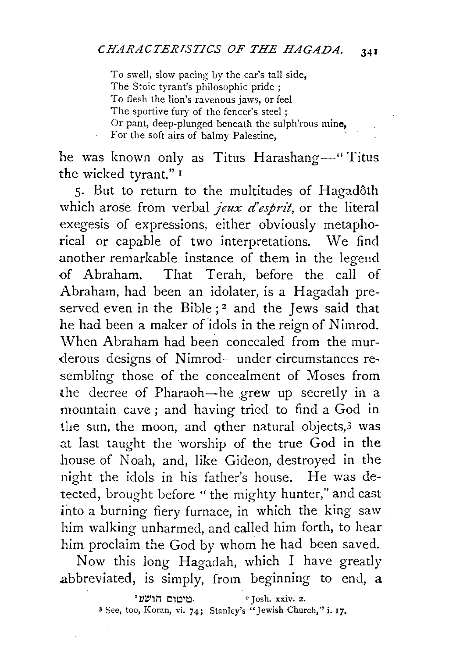To swell, slow pacing by the car's tall side, The Stoic tyrant's philosophic pride ; To flesh the lion's ravenous jaws, or feel The sportive fury of the fencer's steel ; Or pant, deep-plunged beneath the sulph'rous mine, For the soft airs of balmy Palestine,

he was known only as Titus Harashang-" Titus the wicked tyrant." <sup>r</sup>

5. But to return to the multitudes of Hagadôth which arose from verbal *jeux d'esprit*, or the literal exegesis of expressions, either obviously metaphorical or capable of two interpretations. We find another remarkable instance of them in the legend of Abraham. That Terah, before the call of Abraham, had been an idolater, is a Hagadah preserved even in the Bible ; 2 and the *]* ews said that he had been a maker of 'idols in the reign of Nimrod. \Vhen Abraham had been concealed from the murderous designs of Nimrod-under circumstances resembling those of the concealment of Moses from the decree of Pharaoh-he grew up secretly in a mountain cave ; and having tried to find a God in the sun, the moon, and other natural objects,<sup>3</sup> was at last taught the worship of the true God in the house of Noah, and, like Gideon, destroyed in the night the idols in his father's house. He was detected, brought before " the mighty hunter," and cast into a burning fiery furnace, in which the king saw him walking unharmed, and called him forth, to hear him proclaim the God by whom he had been saved. Now this long Hagadah, which I have greatly

.abbreviated, is simply, from beginning to end, a

'יַטוּם הושע. $\blacksquare$  2 Josh. xxiv. 2. 3 See, too, Koran, vi. 74; Stanley's "Jewish Church," i. 17.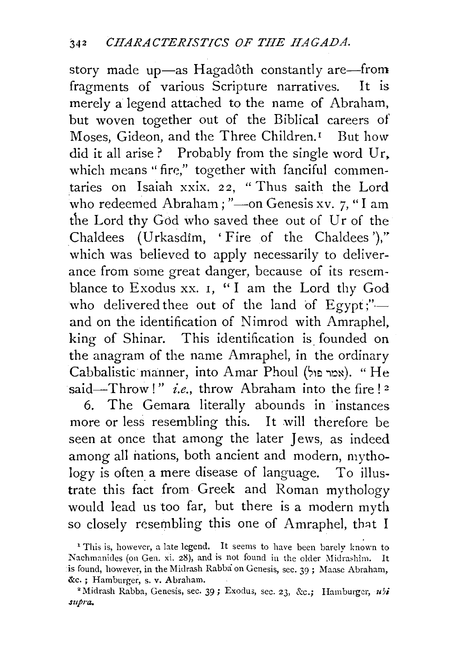story made up-as Hagadôth constantly are-from fragments of various Scripture narratives. It is merely a legend attached to the name of Abraham, but woven together out of the Biblical careers of Moses, Gideon, and the Three Children.<sup>1</sup> But how did it all arise? Probably from the single word Ur, which means "fire," together with fanciful commentaries on Isaiah xxix. 22, "Thus saith the Lord who redeemed Abraham; "-on Genesis xv. 7, "I am the Lord thy God who saved thee out of Ur of the Chaldees (Urkasdim, 'Fire of the Chaldees')," which was believed to apply necessarily to deliverance from some great danger, because of its resemblance to Exodus xx. 1, ''I am the Lord thy God who delivered thee out of the land of  $Egyrt$ ;"and on the identification of Nimrod with Amraphel, king of Shinar. This identification is founded on the anagram of the name Amraphel, in the ordinary Cabbalistic manner, into Amar Phoul (אמר פול). "He said-Throw!" *i.e.*, throw Abraham into the fire!<sup>2</sup>

6. The Gemara literally abounds in instances more or less resembling this. It will therefore be seen at once that among the later Jews, as indeed among all nations, both ancient and modern, mythology is often a mere disease of language. To illustrate this fact from Greek and Roman mythology would lead us too far, but there is a modern myth so closely resembling this one of Amraphel, that I

<sup>&</sup>lt;sup>1</sup> This is, however, a late legend. It seems to have been barely known to Nachmanides (on Gen. xi. 28), and is not found in the older Midrashim. It is found, however, in the Midrash Rabba on Genesis, sec. 39 ; Maase Abraham, &c.; Hamburger, s. v. Abraham.

<sup>&</sup>lt;sup>2</sup> Midrash Rabba, Genesis, sec. 39; Exodus, sec. 23, &c.; Hamburger,  $u^j$ *supra.*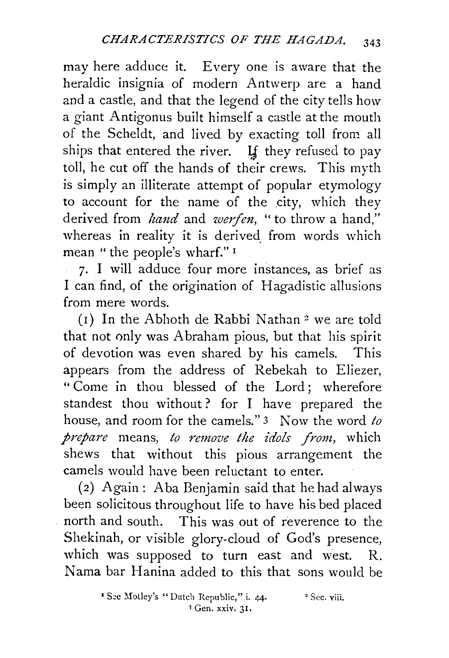may here adduce it. Every one is aware that the heraldic insignia of modern Antwerp are a hand and a castle, and that the legend of the city tells how a giant Antigonus built himself a castle at the mouth of the Scheldt, and lived by exacting toll from all ships that entered the river. If they refused to pay toll, he cut off the hands of their crews. This myth is simply an illiterate attempt of popular etymology to account for the name of the city, which they derived from *hand* and *werfen*, " to throw a hand," whereas in reality it is derived from words which mean "the people's wharf."<sup>1</sup>

7· I will adduce four more instances, as brief as I can find, of the origination of Hagadistic allusions from mere words.

(1) In the Abhoth de Rabbi Nathan 2 we are told that not only was Abraham pious, but that his spirit of devotion was even shared by his camels. This appears from the address of Rebekah to Eliezer, "Come in thou blessed of the Lord; wherefore standest thou without ? for I have prepared the house, and room for the camels." 3 Now the word *to prepare* means, *to remove the idols from*, which shews that without this pious arrangement the camels would have been reluctant to enter.

(2) Again: Aba Benjamin said that he had always been solicitous throughout life to have his bed placed north and south. This was out of reverence to the Shekinah, or visible glory-cloud of God's presence, which was supposed to turn east and west. R. Nama bar Hanina added to this that sons would be

> <sup>1</sup> See Motley's "Dutch Republic," i. 44. <sup>1</sup>**Gen. xxiv. 31,**

<sup>2</sup> Sec. viii.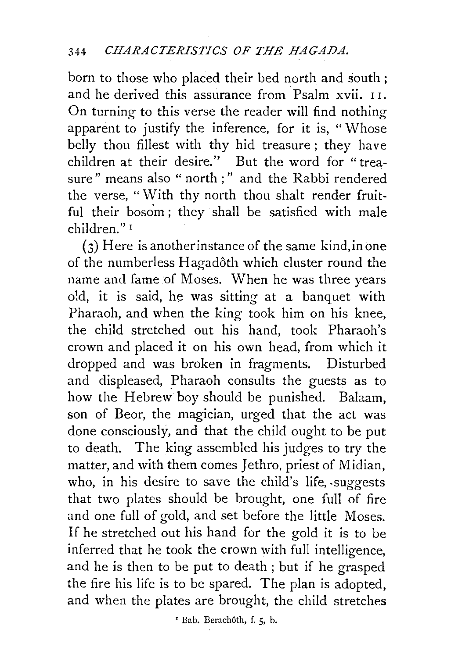born to those who placed their bed north and south ; and he derived this assurance from Psalm xvii. I 1. On turning to this verse the reader will find nothing apparent to justify the inference, for it is, "Whose belly thou fillest with thy hid treasure; they have children at their desire." But the word for "treasure" means also " north ; " and the Rabbi rendered the verse, "With thy north thou shalt render fruitful their bosom; they shall be satisfied with male children."<sup>1</sup>

 $(3)$  Here is another instance of the same kind, in one of the numberless Hagadôth which cluster round the name and fame of Moses. When he was three years old, it is said, he was sitting at a banquet with Pharaoh, and when the king took him on his knee, the child stretched out his hand, took Pharaoh's crown and placed it on his own head, from which it dropped and was broken in fragments. Disturbed and displeased, Pharaoh consults the guests as to how the Hebrew boy should be punished. Balaam, son of Beor, the magician, urged that the act was done consciously, and that the child ought to be put to death. The king assembled his judges to try the matter, and with them comes Jethro, priest of Midian, who, in his desire to save the child's life, -suggests that two plates should be brought, one full of fire and one full of gold, and set before the little Moses. If he stretched out his hand for the gold it is to be inferred that he took the crown with full intelligence, and he is then to be put to death ; but if he grasped the fire his life is to be spared. The plan is adopted, and when the plates are brought, the child stretches

<sup>&</sup>lt;sup>1</sup> Bab. Berachôth, f. 5, b.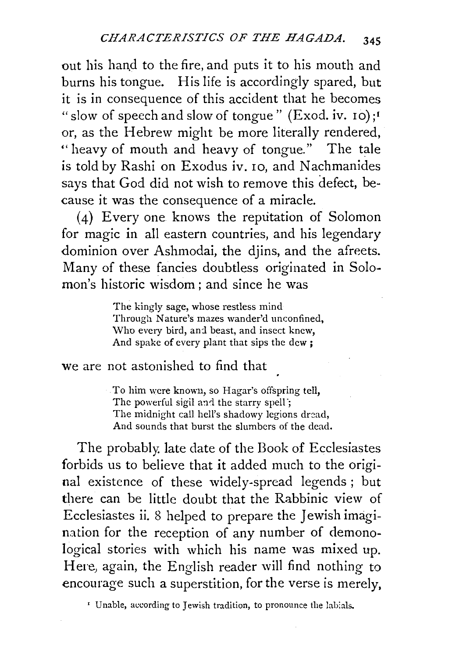out his hand to the fire, and puts it to his mouth and burns his tongue. His life is accordingly spared, but it is in consequence of this accident that he becomes " slow of speech and slow of tongue" (Exod. iv. 10);<sup>1</sup> or, as the Hebrew might be more literally rendered, "heavy of mouth and heavy of tongue." The tale is told by Rashi on Exodus iv. 10, and Nachmanides says that God did not wish to remove this defect, because it was the consequence of a miracle.

(4) Every one knows the reputation of Solomon for magic in all eastern countries, and his legendary dominion over Ashmodai, the djins, and the afreets. Many of these fancies doubtless originated in Solomon's historic wisdom; and since he was

> The kingly sage, whose restless mind Through Nature's mazes wander'd unconfined, Who every bird, and beast, and insect knew, And spake of every plant that sips the dew ;

## we are not astonished to find that

To him were known, so Hagar's offspring tell, The powerful sigil and the starry spell; The midnight call hell's shadowy legions dread, And sounds that burst the slumbers of the dead.

The probably. late date of the Book of Ecclesiastes forbids us to believe that it added much to the original existence of these widely-spread legends ; but there can be little doubt that the Rabbinic view of Ecclesiastes ii. 8 helped to prepare the Jewish imagination for the reception of any number of demonological stories with which his name was mixed up. Here; again, the English reader will find nothing to encourage such a superstition, for the verse is merely,

<sup>r</sup> Unable, according to Jewish tradition, to pronounce the labials.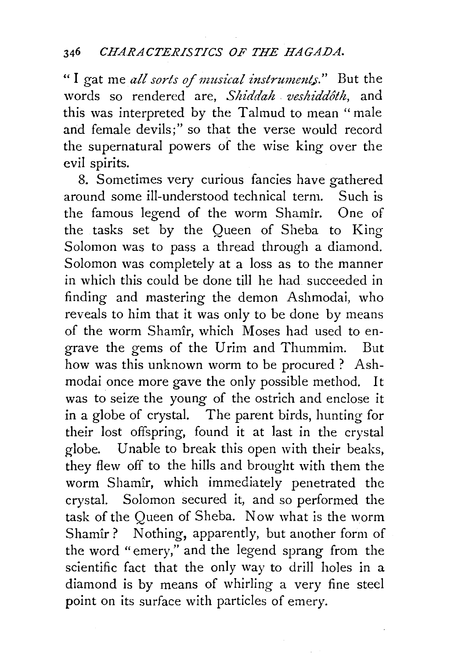"I gat me *all sorts of musical instruments.*" But the words so rendered are, *Shiddah* . *veshiddoth,* and this was interpreted by the Talmud to mean "male and female devils;" so that the verse would record the supernatural powers of the wise king over the evil spirits.

8. Sometimes very curious fancies have gathered around some ill-understood technical term. Such is the famous legend of the worm Shamir. One of the tasks set by the Queen of Sheba to King Solomon was to pass a thread through a diamond. Solomon was completely at a loss as to the manner in which this could be done till he had succeeded in finding and mastering the demon Ashmodai, who reveals to him that it was only to be done by means of the worm Shamir, which Moses had used to engrave the gems of the U rim and Thummim. But how was this unknown worm to be procured? Ashmodai once more gave the only possible method. It was to seize the young of the ostrich and enclose it in a globe of crystal. The parent birds, hunting for their lost offspring, found it at last in the crystal globe. Unable to break this open with their beaks, they flew off to the hills and brought with them the worm Sbamir, which immediately penetrated the crystal. Solomon secured it, and so performed the task of the Queen of Sheba. Now what is the worm Shamir ? Nothing, apparently, but another form of the word "emery," and the legend sprang from the scientific fact that the only way to drill holes in a diamond is by means of whirling a very fine steel point on its surface with particles of emery.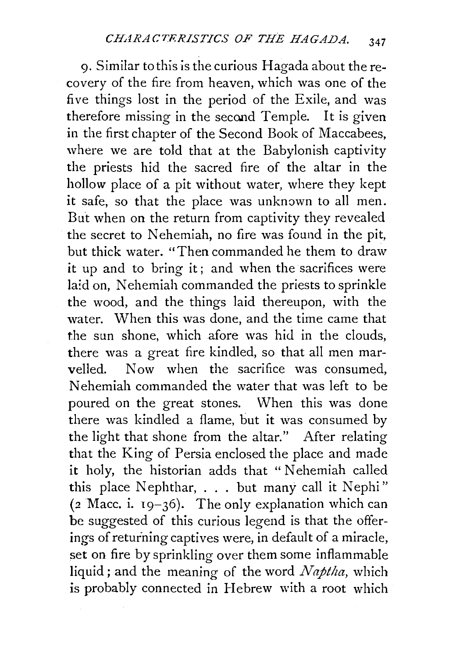9· Similar to this is the curious Hagada about the recovery of the fire from heaven, which was one of the five things lost in the period of the Exile, and was therefore missing in the second Temple. It is given in the first chapter of the Second Book of Maccabees, where we are told that at the Babylonish captivity the priests hid the sacred fire of the altar in the hollow place of a pit without water, where they kept it safe, so that the place was unknown to all men. But when on the return from captivity they revealed the secret to Nehemiah, no fire was found in the pit. but thick water. "Then commanded he them to draw it up and to bring it; and when the sacrifices were laid on, Nehemiah commanded the priests to sprinkle the wood, and the things laid thereupon, with the water. When this was done, and the time came that the sun shone, which afore was hid in the clouds, there was a great fire kindled, so that all men marvelled. Now when the sacrifice was consumed, N ehemiah commanded the water that was left to be poured on the great stones. When this was done there was kindled a flame, but it was consumed by the light that shone from the altar." After relating that the King of Persia enclosed the place and made it holy, the historian adds that "Nehemiah called this place Nephthar,  $\ldots$  but many call it Nephi" (2 Mace. i.  $19-36$ ). The only explanation which can be suggested of this curious legend is that the offerings of retur'ning captives were, in default of a miracle, set on fire by sprinkling over them some inflammable liquid; and the meaning of the word *Naptha*, which is probably connected in Hebrew with a root which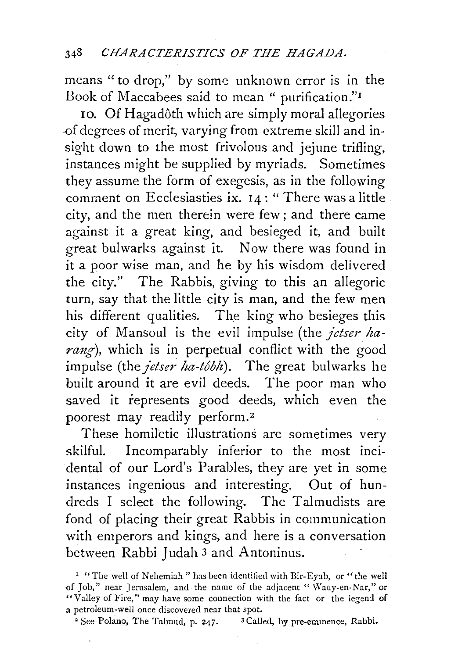means "to drop," by some unknown error is in the Book of Maccabees said to mean " purification." <sup>1</sup>

10. Of Hagadôth which are simply moral allegories -of degrees of merit, varying from extreme skill and insight down to the most frivolous and jejune trifling, instances might be supplied by myriads. Sometimes they assume the form of exegesis, as in the following comment on Ecclesiasties ix. 14: " There was a little city, and the men therein were few; and there came against it a great king, and besieged it, and built great bulwarks against it. Now there was found in it a poor wise man, and he by his wisdom delivered the city." The Rabbis, giving to this an allegoric turn, say that the little city is man, and the few men his different qualities. The king who besieges this city of Mansoul is the evil impulse (the *jetser harang),* which is in perpetual conflict with the good impulse (the *jetser ha-tôbh*). The great bulwarks he built around it are evil deeds. The poor man who saved it represents good deeds, which even the poorest may readily perform. <sup>2</sup>

These homiletic illustrations are sometimes very skilful. Incomparably inferior to the most incidental of our Lord's Parables, they are yet in some instances ingenious and interesting. Out of hundreds I select the following. The Talmudists are fond of placing their great Rabbis in communication with emperors and kings, and here is a conversation between Rabbi Judah 3 and Antoninus.

<sup>&</sup>lt;sup>1</sup> "The well of Nehemiah" has been identified with Bir-Eyub, or "the well of Job," near Jerusalem, and the name of the adjacent "Wady-en-Nar," or "Valley of Fire," may have some connection with the fact or the legend of a petroleum-well once discovered near that spot.<br>
<sup>2</sup> See Polano, The Talmud, p. 247. <sup>3</sup> Called, by pre-emmence, Rabbi.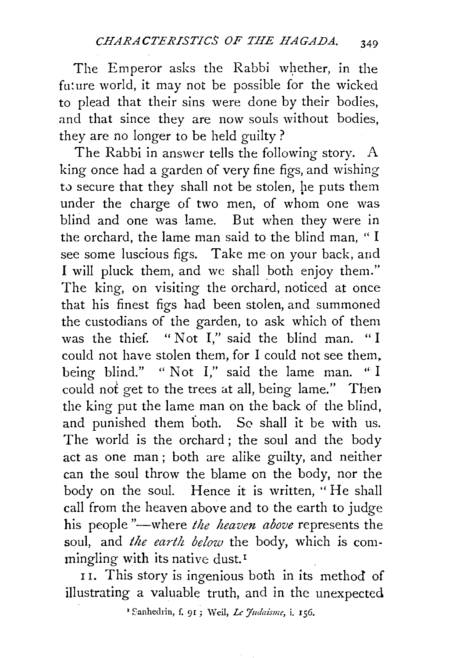The Emperor asks the Rabbi whether, in the fu:ure world, it may not be possible for the wicked to plead that their sins were done by their bodies, and that since they are now souls without bodies, they are no longer to be held guilty ?

The Rabbi in answer tells the following story. A king once had a garden of very fine figs, and wishing to secure that they shall not be stolen, he puts them under the charge of two men, of whom one was blind and one was lame. But when they were in the orchard, the lame man said to the blind man, " I see some luscious figs. Take me on your back, and I will pluck them, and we shall both enjoy them." The king, on visiting the orchard, noticed at once that his finest figs had been stolen, and summoned the custodians of the garden, to ask which of them was the thief. "Not I," said the blind man. " I could not have stolen them, for I could not see them, being blind." " Not I," said the lame man. " I could not get to the trees at all, being lame." Then the king put the lame man on the back of the blind, and punished them both. Se shall it be with us. The world is the orchard ; the soul and the body act as one man; both are alike guilty, and neither can the soul throw the blame on the body, nor the body on the soul. Hence it is written, "He shall call from the heaven above and to the earth to judge his people "-where *the heaven above* represents the soul, and *the earth below* the body, which is commingling with its native dust.<sup>I</sup>

II. This story is ingenious both in its method of illustrating a valuable truth, and in the unexpected

<sup>1</sup> Sanhedrin, f. 91; Weil, *Le Judaisme*, *i.* 156.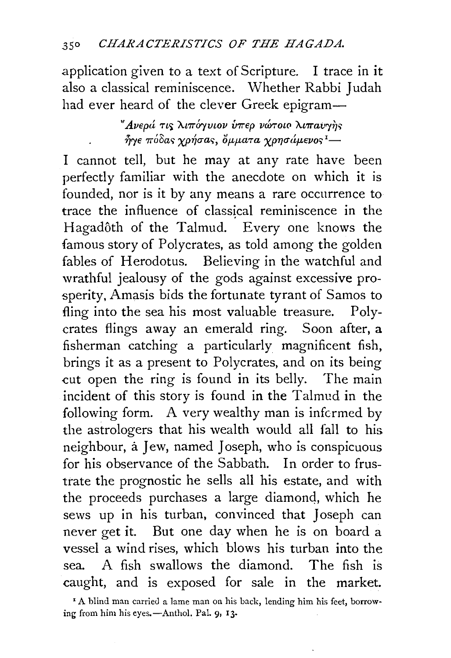application given to a text of Scripture. I trace in it also a classical reminiscence. Whether Rabbi Judah had ever heard of the clever Greek epigram-

> "Ανερά τις λιπόγυιον ύπερ νώτοιο λιπαυγής  $\tilde \eta$ γε πόδας χρήσας, ὄμματα χρησάμενος  $^{\text{\tiny{\texttt{I}}}}$ .

1 cannot tell, but he may at any rate have been perfectly familiar with the anecdote on which it is founded, nor is it by any means a rare occurrence to trace the influence of classical reminiscence in the Hagadôth of the Talmud. Every one knows the famous story of Polycrates, as told among the golden fables of Herodotus. Believing in the watchful and wrathful jealousy of the gods against excessive prosperity, Amasis bids the fortunate tyrant of Samos to fling into the sea his most valuable treasure. Polycrates flings away an emerald ring. Soon after, a fisherman catching a particularly magnificent fish, brings it as a present to Polycrates, and on its being cut open the ring is found in its belly. The main incident of this story is found in the Talmud in the following form. A very wealthy man is infcrmed by the astrologers that his wealth would all fall to his. neighbour, a Jew, named Joseph, who is conspicuous for his observance of the Sabbath. In order to frustrate the prognostic he sells all his estate, and with the proceeds purchases a large diamond, which he sews up in his turban, convinced that Joseph can never get it. But one day when he is on board a vessel a wind rises, which blows his turban into the sea. A fish swallows the diamond. The fish is caught, and is exposed for sale in the market.

'A blind man carried a lame man on his back, lending him his feet, borrowing from him his eyes.-Anthol. Pal. 9, 13.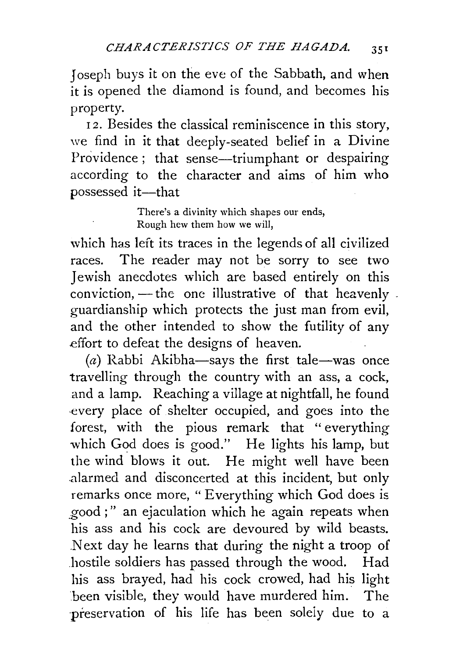Joseph buys it on the eve of the Sabbath, and when it is opened the diamond is found, and becomes his property.

<sup>I</sup>*2.* Besides the classical reminiscence in this story, we find in it that deeply-seated belief in a Divine Providence; that sense-triumphant or despairing according to the character and aims of him who possessed it-that

> There's a divinity which shapes our ends, Rough hew them how we will,

which has left its traces in the legends of all civilized races. The reader may not be sorry to see two Jewish anecdotes which are based entirely on this conviction,  $-$  the one illustrative of that heavenly. guardianship which protects the just man from evil, and the other intended to show the futility of any effort to defeat the designs of heaven.

 $(a)$  Rabbi Akibha-says the first tale-was once travelling through the country with an ass, a cock, and a lamp. Reaching a village at nightfall, he found ·every place of shelter occupied, and goes into the forest, with the pious remark that " everything which God does is good." He lights his lamp, but the wind blows it out. He might well have been .alarmed and disconcerted at this incident, but only remarks once more, "Everything which God does is good ; " an ejaculation which he again repeats when his ass and his cock are devoured by wild beasts. . Next day he learns that during the night a troop of hostile soldiers has passed through the wood. Had his ass brayed, had his cock crowed, had his light been visible, they would have murdered him. The ·preservation of his life has been soleiy due to a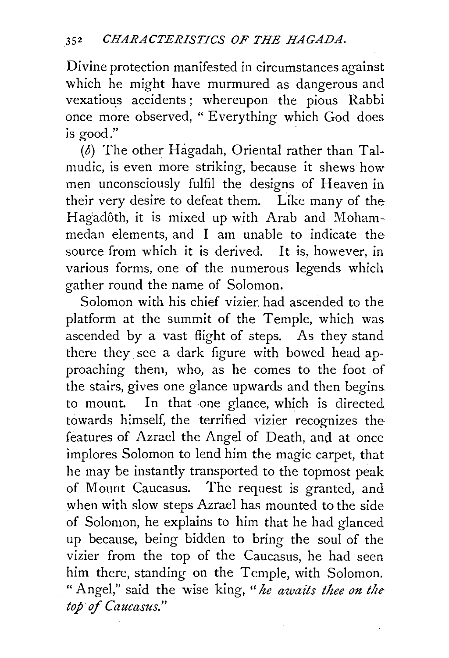Divine protection manifested in circumstances against which he might have murmured as dangerous and vexatious accidents; whereupon the pious Rabbi once more observed, "Everything which God does. is good."

(b) The other Hagadah, Oriental rather than Talmudic, is even more striking, because it shews how men unconsciously fulfil the designs of Heaven in their very desire to defeat them. Like many of the Hagadôth, it is mixed up with Arab and Mohammedan elements, and I am unable to indicate the source from which it is derived. It is, however, in various forms, one of the numerous legends which gather round the name of Solomon.

Solomon with his chief vizier. had ascended to the platform at the summit of the Temple, which was ascended by a vast flight of steps. As they stand there they. see a dark figure with bowed head approaching them, who, as he comes to the foot of the stairs, gives one glance upwards and then begins. to mount. In that one glance, which is directed towards himself, the terrified vizier recognizes the features of Azrael the Angel of Death, and at once implores Solomon to lend him the magic carpet, that he may be instantly transported to the topmost peak of Mount Caucasus. The request is granted, and when with slow steps Azrael has mounted to the side of Solomon, he explains to him that he had glanced up because, being bidden to bring the soul of the vizier from the top of the Caucasus, he had seen him there, standing on the Temple, with Solomon. "Angel," said the wise king, *"he awaits thee on the top of Caucasus."*